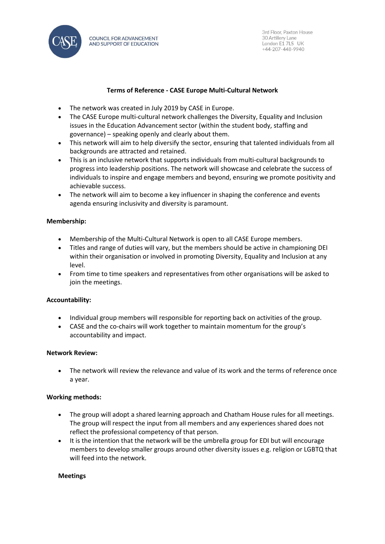

#### **Terms of Reference - CASE Europe Multi-Cultural Network**

- The network was created in July 2019 by CASE in Europe.
- The CASE Europe multi-cultural network challenges the Diversity, Equality and Inclusion issues in the Education Advancement sector (within the student body, staffing and governance) – speaking openly and clearly about them.
- This network will aim to help diversify the sector, ensuring that talented individuals from all backgrounds are attracted and retained.
- This is an inclusive network that supports individuals from multi-cultural backgrounds to progress into leadership positions. The network will showcase and celebrate the success of individuals to inspire and engage members and beyond, ensuring we promote positivity and achievable success.
- The network will aim to become a key influencer in shaping the conference and events agenda ensuring inclusivity and diversity is paramount.

## **Membership:**

- Membership of the Multi-Cultural Network is open to all CASE Europe members.
- Titles and range of duties will vary, but the members should be active in championing DEI within their organisation or involved in promoting Diversity, Equality and Inclusion at any level.
- From time to time speakers and representatives from other organisations will be asked to join the meetings.

### **Accountability:**

- Individual group members will responsible for reporting back on activities of the group.
- CASE and the co-chairs will work together to maintain momentum for the group's accountability and impact.

### **Network Review:**

• The network will review the relevance and value of its work and the terms of reference once a year.

# **Working methods:**

- The group will adopt a shared learning approach and Chatham House rules for all meetings. The group will respect the input from all members and any experiences shared does not reflect the professional competency of that person.
- It is the intention that the network will be the umbrella group for EDI but will encourage members to develop smaller groups around other diversity issues e.g. religion or LGBTQ that will feed into the network.

### **Meetings**